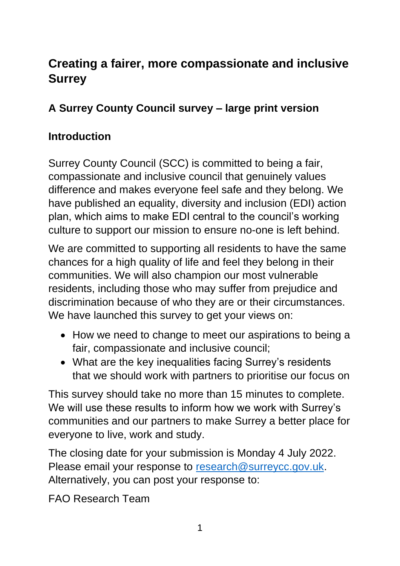# **Creating a fairer, more compassionate and inclusive Surrey**

### **A Surrey County Council survey – large print version**

#### **Introduction**

Surrey County Council (SCC) is committed to being a fair, compassionate and inclusive council that genuinely values difference and makes everyone feel safe and they belong. We have published an equality, diversity and inclusion (EDI) action plan, which aims to make EDI central to the council's working culture to support our mission to ensure no-one is left behind.

We are committed to supporting all residents to have the same chances for a high quality of life and feel they belong in their communities. We will also champion our most vulnerable residents, including those who may suffer from prejudice and discrimination because of who they are or their circumstances. We have launched this survey to get your views on:

- How we need to change to meet our aspirations to being a fair, compassionate and inclusive council;
- What are the key inequalities facing Surrey's residents that we should work with partners to prioritise our focus on

This survey should take no more than 15 minutes to complete. We will use these results to inform how we work with Surrey's communities and our partners to make Surrey a better place for everyone to live, work and study.

The closing date for your submission is Monday 4 July 2022. Please email your response to [research@surreycc.gov.uk.](mailto:research@surreycc.gov.uk) Alternatively, you can post your response to:

FAO Research Team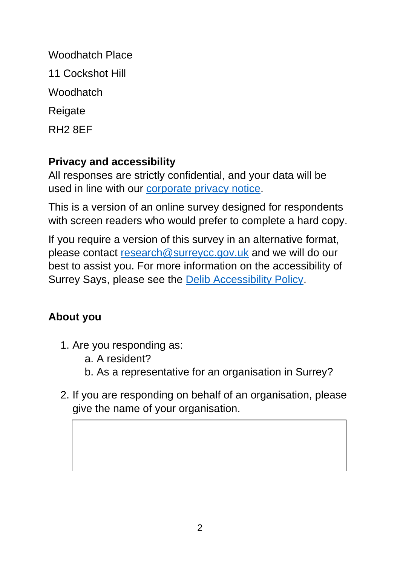Woodhatch Place 11 Cockshot Hill **Woodhatch Reigate** RH2 8EF

### **Privacy and accessibility**

All responses are strictly confidential, and your data will be used in line with our [corporate privacy notice.](http://www.surreycc.gov.uk/council-and-democracy/your-privacy/corporate-privacy-notice)

This is a version of an online survey designed for respondents with screen readers who would prefer to complete a hard copy.

If you require a version of this survey in an alternative format, please contact [research@surreycc.gov.uk](mailto:research@surreycc.gov.uk) and we will do our best to assist you. For more information on the accessibility of Surrey Says, please see the [Delib Accessibility Policy.](https://www.surreysays.co.uk/accessibility_policy/)

## **About you**

- 1. Are you responding as:
	- a. A resident?
	- b. As a representative for an organisation in Surrey?
- 2. If you are responding on behalf of an organisation, please give the name of your organisation.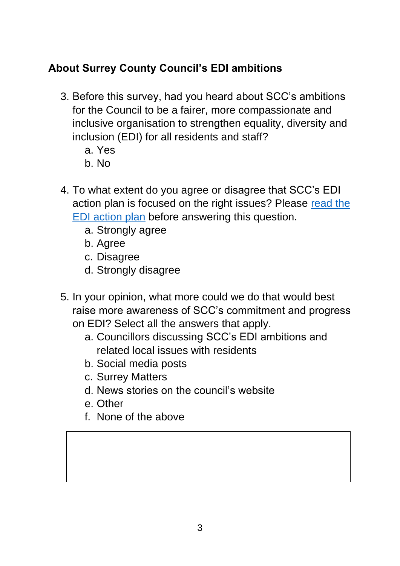## **About Surrey County Council's EDI ambitions**

- 3. Before this survey, had you heard about SCC's ambitions for the Council to be a fairer, more compassionate and inclusive organisation to strengthen equality, diversity and inclusion (EDI) for all residents and staff?
	- a. Yes
	- b. No
- 4. To what extent do you agree or disagree that SCC's EDI action plan is focused on the right issues? Please [read the](https://www.surreycc.gov.uk/council-and-democracy/finance-and-performance/equality-and-diversity/equality-diversity-and-inclusion-action-plan)  [EDI action plan](https://www.surreycc.gov.uk/council-and-democracy/finance-and-performance/equality-and-diversity/equality-diversity-and-inclusion-action-plan) before answering this question.
	- a. Strongly agree
	- b. Agree
	- c. Disagree
	- d. Strongly disagree
- 5. In your opinion, what more could we do that would best raise more awareness of SCC's commitment and progress on EDI? Select all the answers that apply.
	- a. Councillors discussing SCC's EDI ambitions and related local issues with residents
	- b. Social media posts
	- c. Surrey Matters
	- d. News stories on the council's website
	- e. Other
	- f. None of the above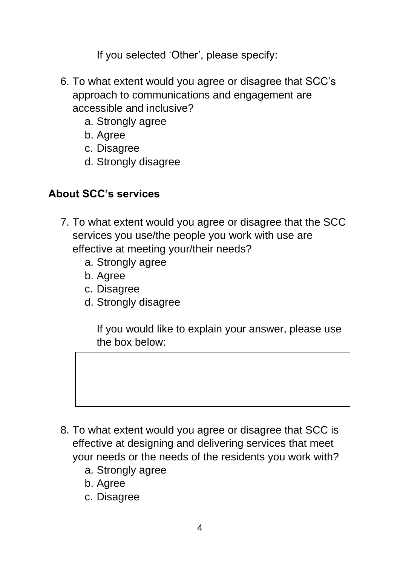If you selected 'Other', please specify:

- 6. To what extent would you agree or disagree that SCC's approach to communications and engagement are accessible and inclusive?
	- a. Strongly agree
	- b. Agree
	- c. Disagree
	- d. Strongly disagree

#### **About SCC's services**

- 7. To what extent would you agree or disagree that the SCC services you use/the people you work with use are effective at meeting your/their needs?
	- a. Strongly agree
	- b. Agree
	- c. Disagree
	- d. Strongly disagree

If you would like to explain your answer, please use the box below:

- 8. To what extent would you agree or disagree that SCC is effective at designing and delivering services that meet your needs or the needs of the residents you work with?
	- a. Strongly agree
	- b. Agree
	- c. Disagree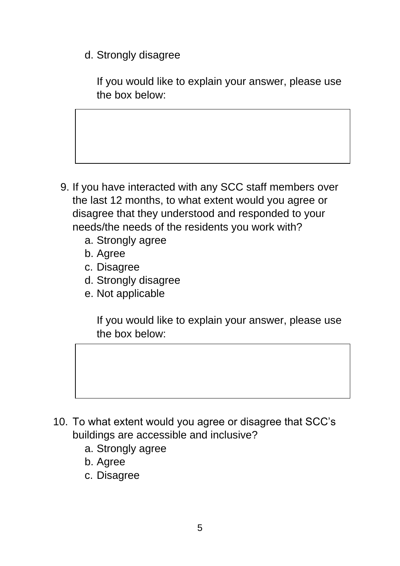d. Strongly disagree

If you would like to explain your answer, please use the box below:

- 9. If you have interacted with any SCC staff members over the last 12 months, to what extent would you agree or disagree that they understood and responded to your needs/the needs of the residents you work with?
	- a. Strongly agree
	- b. Agree
	- c. Disagree
	- d. Strongly disagree
	- e. Not applicable

If you would like to explain your answer, please use the box below:

- 10. To what extent would you agree or disagree that SCC's buildings are accessible and inclusive?
	- a. Strongly agree
	- b. Agree
	- c. Disagree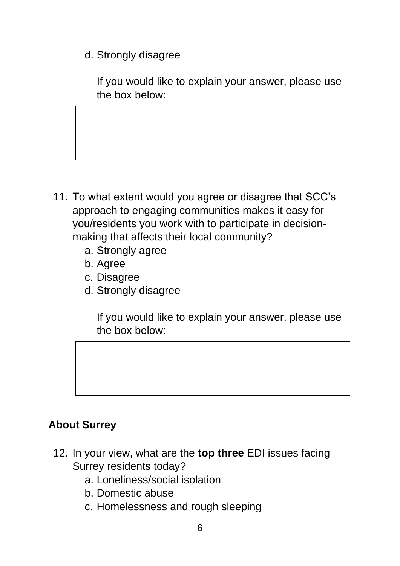d. Strongly disagree

If you would like to explain your answer, please use the box below:

- 11. To what extent would you agree or disagree that SCC's approach to engaging communities makes it easy for you/residents you work with to participate in decisionmaking that affects their local community?
	- a. Strongly agree
	- b. Agree
	- c. Disagree
	- d. Strongly disagree

If you would like to explain your answer, please use the box below:

### **About Surrey**

- 12. In your view, what are the **top three** EDI issues facing Surrey residents today?
	- a. Loneliness/social isolation
	- b. Domestic abuse
	- c. Homelessness and rough sleeping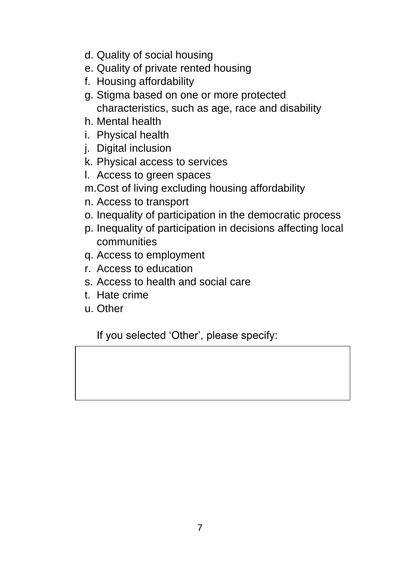- d. Quality of social housing
- e. Quality of private rented housing
- f. Housing affordability
- g. Stigma based on one or more protected characteristics, such as age, race and disability
- h. Mental health
- i. Physical health
- j. Digital inclusion
- k. Physical access to services
- l. Access to green spaces
- m.Cost of living excluding housing affordability
- n. Access to transport
- o. Inequality of participation in the democratic process
- p. Inequality of participation in decisions affecting local communities
- q. Access to employment
- r. Access to education
- s. Access to health and social care
- t. Hate crime
- u. Other

If you selected 'Other', please specify: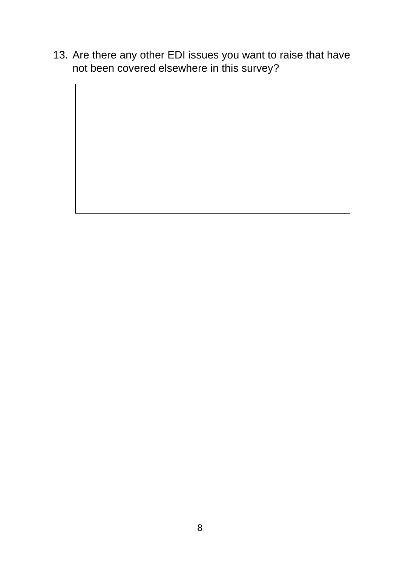13. Are there any other EDI issues you want to raise that have not been covered elsewhere in this survey?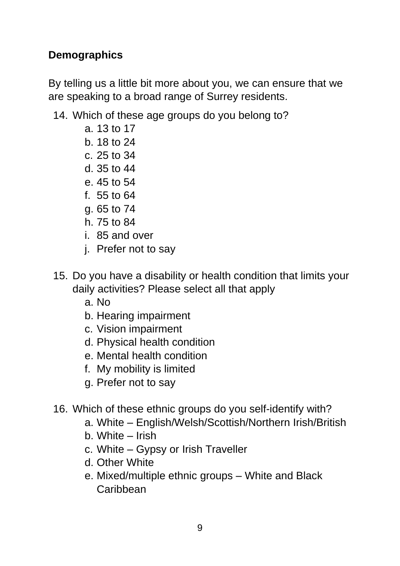#### **Demographics**

By telling us a little bit more about you, we can ensure that we are speaking to a broad range of Surrey residents.

- 14. Which of these age groups do you belong to?
	- a. 13 to 17
	- b. 18 to 24
	- c. 25 to 34
	- d. 35 to 44
	- e. 45 to 54
	- f. 55 to 64
	- g. 65 to 74
	- h. 75 to 84
	- i. 85 and over
	- j. Prefer not to say
- 15. Do you have a disability or health condition that limits your daily activities? Please select all that apply
	- a. No
	- b. Hearing impairment
	- c. Vision impairment
	- d. Physical health condition
	- e. Mental health condition
	- f. My mobility is limited
	- g. Prefer not to say
- 16. Which of these ethnic groups do you self-identify with?
	- a. White English/Welsh/Scottish/Northern Irish/British
	- b. White Irish
	- c. White Gypsy or Irish Traveller
	- d. Other White
	- e. Mixed/multiple ethnic groups White and Black **Caribbean**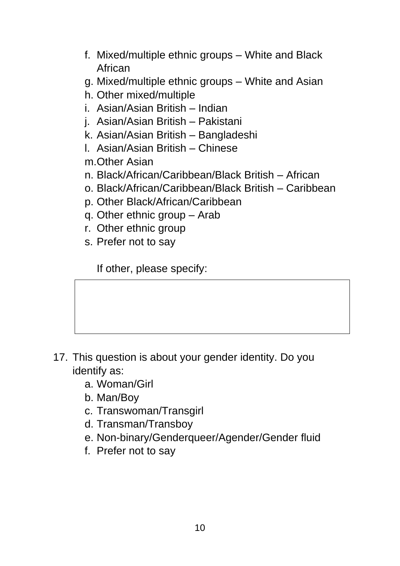- f. Mixed/multiple ethnic groups White and Black African
- g. Mixed/multiple ethnic groups White and Asian
- h. Other mixed/multiple
- i. Asian/Asian British Indian
- j. Asian/Asian British Pakistani
- k. Asian/Asian British Bangladeshi
- l. Asian/Asian British Chinese
- m.Other Asian
- n. Black/African/Caribbean/Black British African
- o. Black/African/Caribbean/Black British Caribbean
- p. Other Black/African/Caribbean
- q. Other ethnic group Arab
- r. Other ethnic group
- s. Prefer not to say

If other, please specify:

- 17. This question is about your gender identity. Do you identify as:
	- a. Woman/Girl
	- b. Man/Boy
	- c. Transwoman/Transgirl
	- d. Transman/Transboy
	- e. Non-binary/Genderqueer/Agender/Gender fluid
	- f. Prefer not to say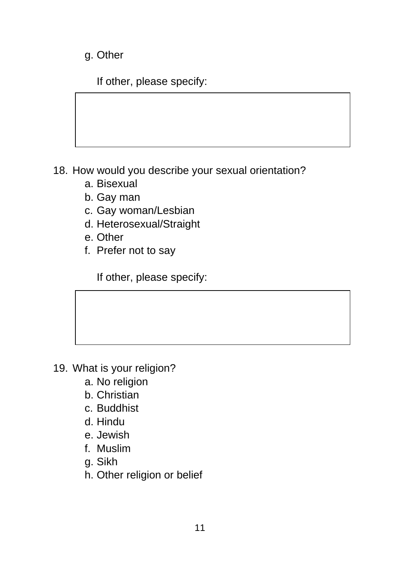g. Other

If other, please specify:

18. How would you describe your sexual orientation?

- a. Bisexual
- b. Gay man
- c. Gay woman/Lesbian
- d. Heterosexual/Straight
- e. Other
- f. Prefer not to say

If other, please specify:

- 19. What is your religion?
	- a. No religion
	- b. Christian
	- c. Buddhist
	- d. Hindu
	- e. Jewish
	- f. Muslim
	- g. Sikh
	- h. Other religion or belief